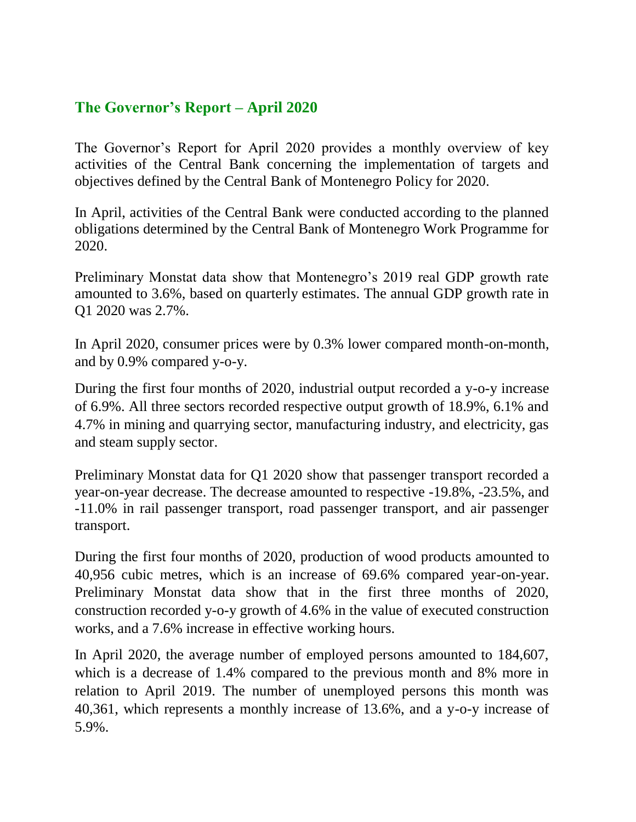## **The Governor's Report – April 2020**

The Governor's Report for April 2020 provides a monthly overview of key activities of the Central Bank concerning the implementation of targets and objectives defined by the Central Bank of Montenegro Policy for 2020.

In April, activities of the Central Bank were conducted according to the planned obligations determined by the Central Bank of Montenegro Work Programme for 2020.

Preliminary Monstat data show that Montenegro's 2019 real GDP growth rate amounted to 3.6%, based on quarterly estimates. The annual GDP growth rate in Q1 2020 was 2.7%.

In April 2020, consumer prices were by 0.3% lower compared month-on-month, and by 0.9% compared y-o-y.

During the first four months of 2020, industrial output recorded a y-o-y increase of 6.9%. All three sectors recorded respective output growth of 18.9%, 6.1% and 4.7% in mining and quarrying sector, manufacturing industry, and electricity, gas and steam supply sector.

Preliminary Monstat data for Q1 2020 show that passenger transport recorded a year-on-year decrease. The decrease amounted to respective -19.8%, -23.5%, and -11.0% in rail passenger transport, road passenger transport, and air passenger transport.

During the first four months of 2020, production of wood products amounted to 40,956 cubic metres, which is an increase of 69.6% compared year-on-year. Preliminary Monstat data show that in the first three months of 2020, construction recorded y-o-y growth of 4.6% in the value of executed construction works, and a 7.6% increase in effective working hours.

In April 2020, the average number of employed persons amounted to 184,607, which is a decrease of 1.4% compared to the previous month and 8% more in relation to April 2019. The number of unemployed persons this month was 40,361, which represents a monthly increase of 13.6%, and a y-o-y increase of 5.9%.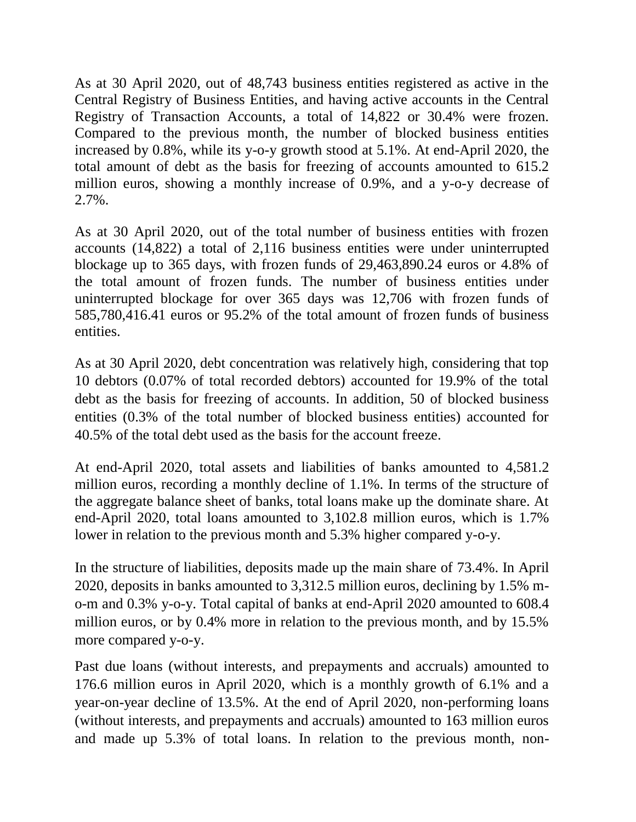As at 30 April 2020, out of 48,743 business entities registered as active in the Central Registry of Business Entities, and having active accounts in the Central Registry of Transaction Accounts, a total of 14,822 or 30.4% were frozen. Compared to the previous month, the number of blocked business entities increased by 0.8%, while its y-o-y growth stood at 5.1%. At end-April 2020, the total amount of debt as the basis for freezing of accounts amounted to 615.2 million euros, showing a monthly increase of 0.9%, and a y-o-y decrease of 2.7%.

As at 30 April 2020, out of the total number of business entities with frozen accounts (14,822) a total of 2,116 business entities were under uninterrupted blockage up to 365 days, with frozen funds of 29,463,890.24 euros or 4.8% of the total amount of frozen funds. The number of business entities under uninterrupted blockage for over 365 days was 12,706 with frozen funds of 585,780,416.41 euros or 95.2% of the total amount of frozen funds of business entities.

As at 30 April 2020, debt concentration was relatively high, considering that top 10 debtors (0.07% of total recorded debtors) accounted for 19.9% of the total debt as the basis for freezing of accounts. In addition, 50 of blocked business entities (0.3% of the total number of blocked business entities) accounted for 40.5% of the total debt used as the basis for the account freeze.

At end-April 2020, total assets and liabilities of banks amounted to 4,581.2 million euros, recording a monthly decline of 1.1%. In terms of the structure of the aggregate balance sheet of banks, total loans make up the dominate share. At end-April 2020, total loans amounted to 3,102.8 million euros, which is 1.7% lower in relation to the previous month and 5.3% higher compared y-o-y.

In the structure of liabilities, deposits made up the main share of 73.4%. In April 2020, deposits in banks amounted to 3,312.5 million euros, declining by 1.5% mo-m and 0.3% y-o-y. Total capital of banks at end-April 2020 amounted to 608.4 million euros, or by 0.4% more in relation to the previous month, and by 15.5% more compared y-o-y.

Past due loans (without interests, and prepayments and accruals) amounted to 176.6 million euros in April 2020, which is a monthly growth of 6.1% and a year-on-year decline of 13.5%. At the end of April 2020, non-performing loans (without interests, and prepayments and accruals) amounted to 163 million euros and made up 5.3% of total loans. In relation to the previous month, non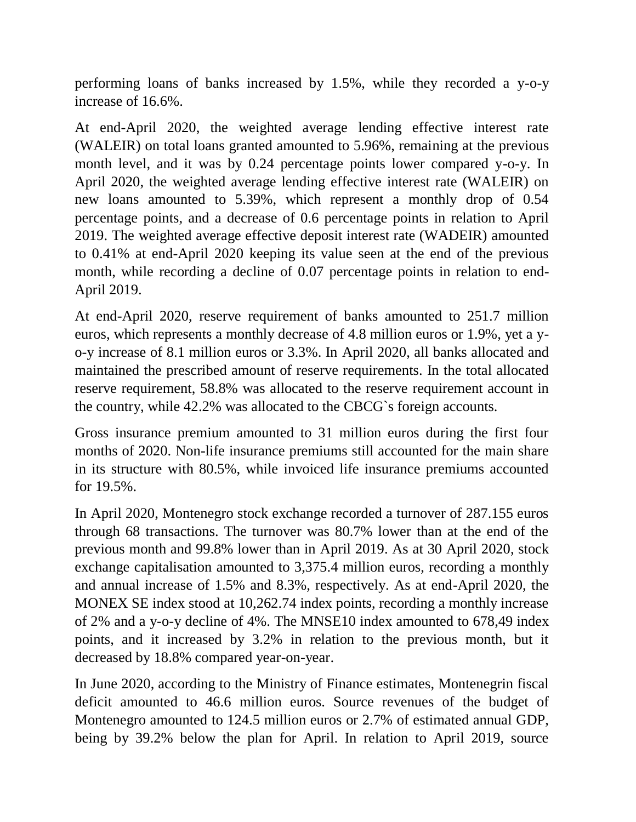performing loans of banks increased by 1.5%, while they recorded a y-o-y increase of 16.6%.

At end-April 2020, the weighted average lending effective interest rate (WALEIR) on total loans granted amounted to 5.96%, remaining at the previous month level, and it was by 0.24 percentage points lower compared y-o-y. In April 2020, the weighted average lending effective interest rate (WALEIR) on new loans amounted to 5.39%, which represent a monthly drop of 0.54 percentage points, and a decrease of 0.6 percentage points in relation to April 2019. The weighted average effective deposit interest rate (WADEIR) amounted to 0.41% at end-April 2020 keeping its value seen at the end of the previous month, while recording a decline of 0.07 percentage points in relation to end-April 2019.

At end-April 2020, reserve requirement of banks amounted to 251.7 million euros, which represents a monthly decrease of 4.8 million euros or 1.9%, yet a yo-y increase of 8.1 million euros or 3.3%. In April 2020, all banks allocated and maintained the prescribed amount of reserve requirements. In the total allocated reserve requirement, 58.8% was allocated to the reserve requirement account in the country, while 42.2% was allocated to the CBCG`s foreign accounts.

Gross insurance premium amounted to 31 million euros during the first four months of 2020. Non-life insurance premiums still accounted for the main share in its structure with 80.5%, while invoiced life insurance premiums accounted for 19.5%.

In April 2020, Montenegro stock exchange recorded a turnover of 287.155 euros through 68 transactions. The turnover was 80.7% lower than at the end of the previous month and 99.8% lower than in April 2019. As at 30 April 2020, stock exchange capitalisation amounted to 3,375.4 million euros, recording a monthly and annual increase of 1.5% and 8.3%, respectively. As at end-April 2020, the MONEX SE index stood at 10,262.74 index points, recording a monthly increase of 2% and a y-o-y decline of 4%. The MNSE10 index amounted to 678,49 index points, and it increased by 3.2% in relation to the previous month, but it decreased by 18.8% compared year-on-year.

In June 2020, according to the Ministry of Finance estimates, Montenegrin fiscal deficit amounted to 46.6 million euros. Source revenues of the budget of Montenegro amounted to 124.5 million euros or 2.7% of estimated annual GDP, being by 39.2% below the plan for April. In relation to April 2019, source